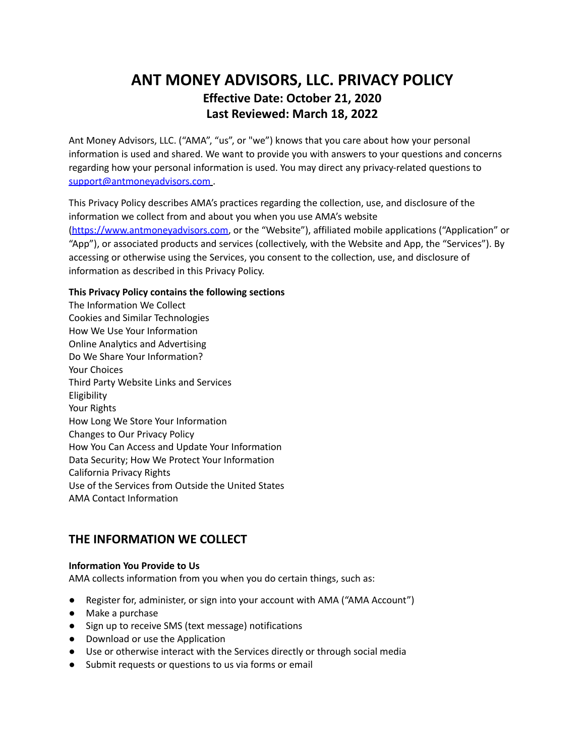# **ANT MONEY ADVISORS, LLC. PRIVACY POLICY Effective Date: October 21, 2020 Last Reviewed: March 18, 2022**

Ant Money Advisors, LLC. ("AMA", "us", or "we") knows that you care about how your personal information is used and shared. We want to provide you with answers to your questions and concerns regarding how your personal information is used. You may direct any privacy-related questions to [support@antmoneyadvisors.com](mailto:support@antmoneyadvisors.com).

This Privacy Policy describes AMA's practices regarding the collection, use, and disclosure of the information we collect from and about you when you use AMA's website [\(https://www.antmoneyadvisors.com](https://www.antmoneyadvisors.com), or the "Website"), affiliated mobile applications ("Application" or "App"), or associated products and services (collectively, with the Website and App, the "Services"). By accessing or otherwise using the Services, you consent to the collection, use, and disclosure of information as described in this Privacy Policy.

### **This Privacy Policy contains the following sections**

The Information We Collect Cookies and Similar Technologies How We Use Your Information Online Analytics and Advertising Do We Share Your Information? Your Choices Third Party Website Links and Services Eligibility Your Rights How Long We Store Your Information Changes to Our Privacy Policy How You Can Access and Update Your Information Data Security; How We Protect Your Information California Privacy Rights Use of the Services from Outside the United States AMA Contact Information

# **THE INFORMATION WE COLLECT**

### **Information You Provide to Us**

AMA collects information from you when you do certain things, such as:

- Register for, administer, or sign into your account with AMA ("AMA Account")
- Make a purchase
- Sign up to receive SMS (text message) notifications
- Download or use the Application
- Use or otherwise interact with the Services directly or through social media
- Submit requests or questions to us via forms or email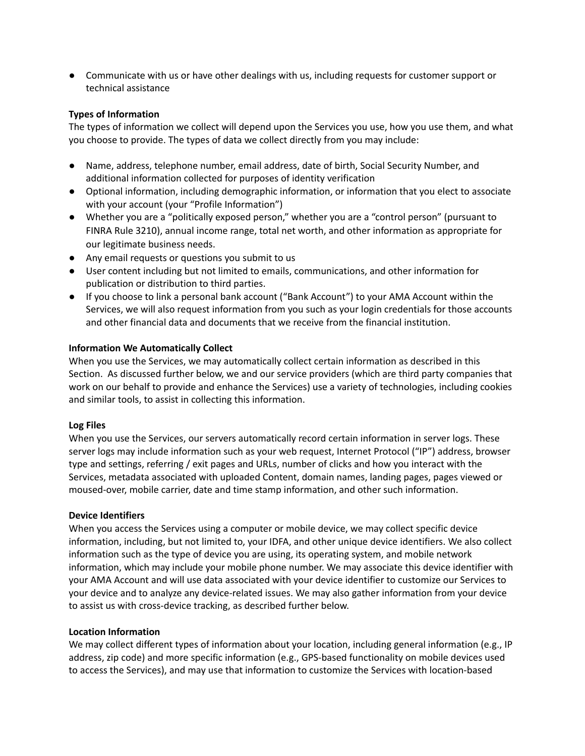● Communicate with us or have other dealings with us, including requests for customer support or technical assistance

### **Types of Information**

The types of information we collect will depend upon the Services you use, how you use them, and what you choose to provide. The types of data we collect directly from you may include:

- Name, address, telephone number, email address, date of birth, Social Security Number, and additional information collected for purposes of identity verification
- Optional information, including demographic information, or information that you elect to associate with your account (your "Profile Information")
- Whether you are a "politically exposed person," whether you are a "control person" (pursuant to FINRA Rule 3210), annual income range, total net worth, and other information as appropriate for our legitimate business needs.
- Any email requests or questions you submit to us
- User content including but not limited to emails, communications, and other information for publication or distribution to third parties.
- If you choose to link a personal bank account ("Bank Account") to your AMA Account within the Services, we will also request information from you such as your login credentials for those accounts and other financial data and documents that we receive from the financial institution.

#### **Information We Automatically Collect**

When you use the Services, we may automatically collect certain information as described in this Section. As discussed further below, we and our service providers (which are third party companies that work on our behalf to provide and enhance the Services) use a variety of technologies, including cookies and similar tools, to assist in collecting this information.

### **Log Files**

When you use the Services, our servers automatically record certain information in server logs. These server logs may include information such as your web request, Internet Protocol ("IP") address, browser type and settings, referring / exit pages and URLs, number of clicks and how you interact with the Services, metadata associated with uploaded Content, domain names, landing pages, pages viewed or moused-over, mobile carrier, date and time stamp information, and other such information.

#### **Device Identifiers**

When you access the Services using a computer or mobile device, we may collect specific device information, including, but not limited to, your IDFA, and other unique device identifiers. We also collect information such as the type of device you are using, its operating system, and mobile network information, which may include your mobile phone number. We may associate this device identifier with your AMA Account and will use data associated with your device identifier to customize our Services to your device and to analyze any device-related issues. We may also gather information from your device to assist us with cross-device tracking, as described further below.

#### **Location Information**

We may collect different types of information about your location, including general information (e.g., IP address, zip code) and more specific information (e.g., GPS-based functionality on mobile devices used to access the Services), and may use that information to customize the Services with location-based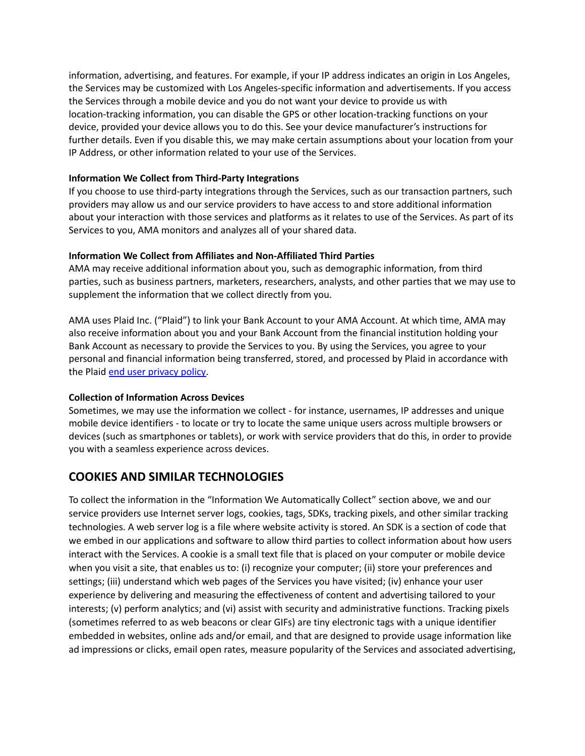information, advertising, and features. For example, if your IP address indicates an origin in Los Angeles, the Services may be customized with Los Angeles-specific information and advertisements. If you access the Services through a mobile device and you do not want your device to provide us with location-tracking information, you can disable the GPS or other location-tracking functions on your device, provided your device allows you to do this. See your device manufacturer's instructions for further details. Even if you disable this, we may make certain assumptions about your location from your IP Address, or other information related to your use of the Services.

### **Information We Collect from Third-Party Integrations**

If you choose to use third-party integrations through the Services, such as our transaction partners, such providers may allow us and our service providers to have access to and store additional information about your interaction with those services and platforms as it relates to use of the Services. As part of its Services to you, AMA monitors and analyzes all of your shared data.

### **Information We Collect from Affiliates and Non-Affiliated Third Parties**

AMA may receive additional information about you, such as demographic information, from third parties, such as business partners, marketers, researchers, analysts, and other parties that we may use to supplement the information that we collect directly from you.

AMA uses Plaid Inc. ("Plaid") to link your Bank Account to your AMA Account. At which time, AMA may also receive information about you and your Bank Account from the financial institution holding your Bank Account as necessary to provide the Services to you. By using the Services, you agree to your personal and financial information being transferred, stored, and processed by Plaid in accordance with the Plaid end user [privacy](https://plaid.com/legal/#end-user-privacy-policy) policy.

### **Collection of Information Across Devices**

Sometimes, we may use the information we collect - for instance, usernames, IP addresses and unique mobile device identifiers - to locate or try to locate the same unique users across multiple browsers or devices (such as smartphones or tablets), or work with service providers that do this, in order to provide you with a seamless experience across devices.

## **COOKIES AND SIMILAR TECHNOLOGIES**

To collect the information in the "Information We Automatically Collect" section above, we and our service providers use Internet server logs, cookies, tags, SDKs, tracking pixels, and other similar tracking technologies. A web server log is a file where website activity is stored. An SDK is a section of code that we embed in our applications and software to allow third parties to collect information about how users interact with the Services. A cookie is a small text file that is placed on your computer or mobile device when you visit a site, that enables us to: (i) recognize your computer; (ii) store your preferences and settings; (iii) understand which web pages of the Services you have visited; (iv) enhance your user experience by delivering and measuring the effectiveness of content and advertising tailored to your interests; (v) perform analytics; and (vi) assist with security and administrative functions. Tracking pixels (sometimes referred to as web beacons or clear GIFs) are tiny electronic tags with a unique identifier embedded in websites, online ads and/or email, and that are designed to provide usage information like ad impressions or clicks, email open rates, measure popularity of the Services and associated advertising,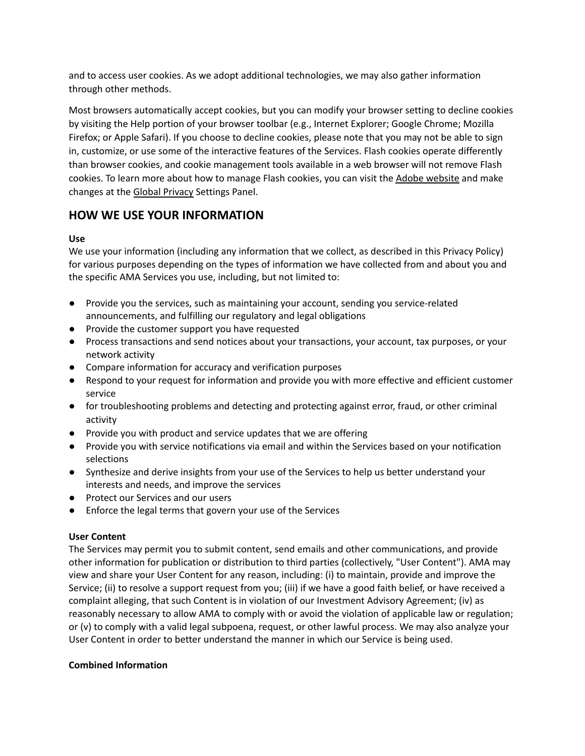and to access user cookies. As we adopt additional technologies, we may also gather information through other methods.

Most browsers automatically accept cookies, but you can modify your browser setting to decline cookies by visiting the Help portion of your browser toolbar (e.g., Internet Explorer; Google Chrome; Mozilla Firefox; or Apple Safari). If you choose to decline cookies, please note that you may not be able to sign in, customize, or use some of the interactive features of the Services. Flash cookies operate differently than browser cookies, and cookie management tools available in a web browser will not remove Flash cookies. To learn more about how to manage Flash cookies, you can visit the Adobe [website](http://helpx.adobe.com/flash-player/kb/disable-local-shared-objects-flash.html) and make changes at the Global [Privacy](http://www.macromedia.com/support/documentation/en/flashplayer/help/settings_manager02.html) Settings Panel.

## **HOW WE USE YOUR INFORMATION**

### **Use**

We use your information (including any information that we collect, as described in this Privacy Policy) for various purposes depending on the types of information we have collected from and about you and the specific AMA Services you use, including, but not limited to:

- Provide you the services, such as maintaining your account, sending you service-related announcements, and fulfilling our regulatory and legal obligations
- Provide the customer support you have requested
- Process transactions and send notices about your transactions, your account, tax purposes, or your network activity
- Compare information for accuracy and verification purposes
- Respond to your request for information and provide you with more effective and efficient customer service
- for troubleshooting problems and detecting and protecting against error, fraud, or other criminal activity
- Provide you with product and service updates that we are offering
- Provide you with service notifications via email and within the Services based on your notification selections
- Synthesize and derive insights from your use of the Services to help us better understand your interests and needs, and improve the services
- Protect our Services and our users
- Enforce the legal terms that govern your use of the Services

### **User Content**

The Services may permit you to submit content, send emails and other communications, and provide other information for publication or distribution to third parties (collectively, "User Content"). AMA may view and share your User Content for any reason, including: (i) to maintain, provide and improve the Service; (ii) to resolve a support request from you; (iii) if we have a good faith belief, or have received a complaint alleging, that such Content is in violation of our Investment Advisory Agreement; (iv) as reasonably necessary to allow AMA to comply with or avoid the violation of applicable law or regulation; or (v) to comply with a valid legal subpoena, request, or other lawful process. We may also analyze your User Content in order to better understand the manner in which our Service is being used.

### **Combined Information**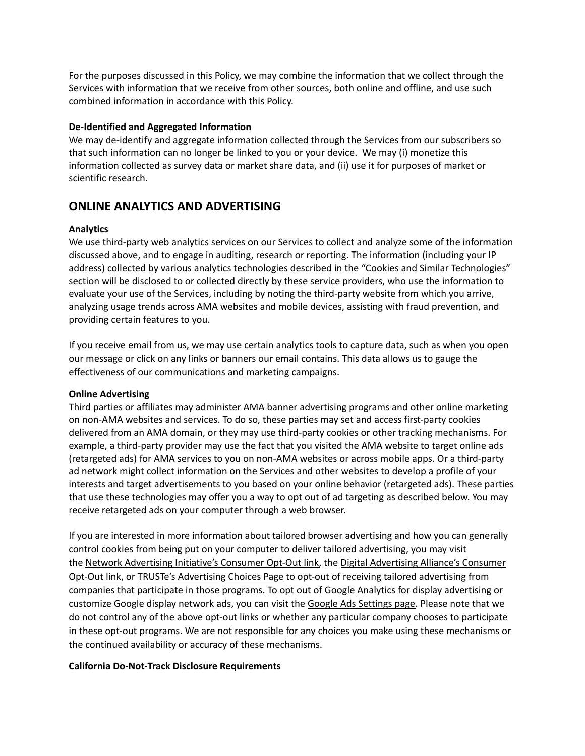For the purposes discussed in this Policy, we may combine the information that we collect through the Services with information that we receive from other sources, both online and offline, and use such combined information in accordance with this Policy.

#### **De-Identified and Aggregated Information**

We may de-identify and aggregate information collected through the Services from our subscribers so that such information can no longer be linked to you or your device. We may (i) monetize this information collected as survey data or market share data, and (ii) use it for purposes of market or scientific research.

### **ONLINE ANALYTICS AND ADVERTISING**

### **Analytics**

We use third-party web analytics services on our Services to collect and analyze some of the information discussed above, and to engage in auditing, research or reporting. The information (including your IP address) collected by various analytics technologies described in the "Cookies and Similar Technologies" section will be disclosed to or collected directly by these service providers, who use the information to evaluate your use of the Services, including by noting the third-party website from which you arrive, analyzing usage trends across AMA websites and mobile devices, assisting with fraud prevention, and providing certain features to you.

If you receive email from us, we may use certain analytics tools to capture data, such as when you open our message or click on any links or banners our email contains. This data allows us to gauge the effectiveness of our communications and marketing campaigns.

### **Online Advertising**

Third parties or affiliates may administer AMA banner advertising programs and other online marketing on non-AMA websites and services. To do so, these parties may set and access first-party cookies delivered from an AMA domain, or they may use third-party cookies or other tracking mechanisms. For example, a third-party provider may use the fact that you visited the AMA website to target online ads (retargeted ads) for AMA services to you on non-AMA websites or across mobile apps. Or a third-party ad network might collect information on the Services and other websites to develop a profile of your interests and target advertisements to you based on your online behavior (retargeted ads). These parties that use these technologies may offer you a way to opt out of ad targeting as described below. You may receive retargeted ads on your computer through a web browser.

If you are interested in more information about tailored browser advertising and how you can generally control cookies from being put on your computer to deliver tailored advertising, you may visit the Network [Advertising](http://www.aboutads.info/choices/) Initiative's Consumer Opt-Out link, the Digital Advertising Alliance's Consumer [Opt-Out](http://www.aboutads.info/choices/) link, or TRUSTe's [Advertising](http://preferences-mgr.truste.com/) Choices Page to opt-out of receiving tailored advertising from companies that participate in those programs. To opt out of Google Analytics for display advertising or customize Google display network ads, you can visit the Google Ads [Settings](https://support.google.com/ads/answer/2662922?hl=en) page. Please note that we do not control any of the above opt-out links or whether any particular company chooses to participate in these opt-out programs. We are not responsible for any choices you make using these mechanisms or the continued availability or accuracy of these mechanisms.

#### **California Do-Not-Track Disclosure Requirements**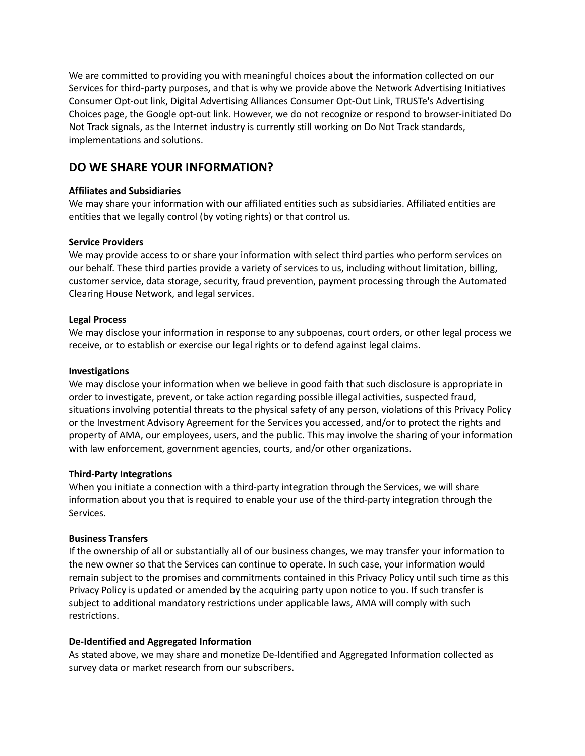We are committed to providing you with meaningful choices about the information collected on our Services for third-party purposes, and that is why we provide above the Network Advertising Initiatives Consumer Opt-out link, Digital Advertising Alliances Consumer Opt-Out Link, TRUSTe's Advertising Choices page, the Google opt-out link. However, we do not recognize or respond to browser-initiated Do Not Track signals, as the Internet industry is currently still working on Do Not Track standards, implementations and solutions.

### **DO WE SHARE YOUR INFORMATION?**

### **Affiliates and Subsidiaries**

We may share your information with our affiliated entities such as subsidiaries. Affiliated entities are entities that we legally control (by voting rights) or that control us.

#### **Service Providers**

We may provide access to or share your information with select third parties who perform services on our behalf. These third parties provide a variety of services to us, including without limitation, billing, customer service, data storage, security, fraud prevention, payment processing through the Automated Clearing House Network, and legal services.

#### **Legal Process**

We may disclose your information in response to any subpoenas, court orders, or other legal process we receive, or to establish or exercise our legal rights or to defend against legal claims.

#### **Investigations**

We may disclose your information when we believe in good faith that such disclosure is appropriate in order to investigate, prevent, or take action regarding possible illegal activities, suspected fraud, situations involving potential threats to the physical safety of any person, violations of this Privacy Policy or the Investment Advisory Agreement for the Services you accessed, and/or to protect the rights and property of AMA, our employees, users, and the public. This may involve the sharing of your information with law enforcement, government agencies, courts, and/or other organizations.

### **Third-Party Integrations**

When you initiate a connection with a third-party integration through the Services, we will share information about you that is required to enable your use of the third-party integration through the Services.

### **Business Transfers**

If the ownership of all or substantially all of our business changes, we may transfer your information to the new owner so that the Services can continue to operate. In such case, your information would remain subject to the promises and commitments contained in this Privacy Policy until such time as this Privacy Policy is updated or amended by the acquiring party upon notice to you. If such transfer is subject to additional mandatory restrictions under applicable laws, AMA will comply with such restrictions.

### **De-Identified and Aggregated Information**

As stated above, we may share and monetize De-Identified and Aggregated Information collected as survey data or market research from our subscribers.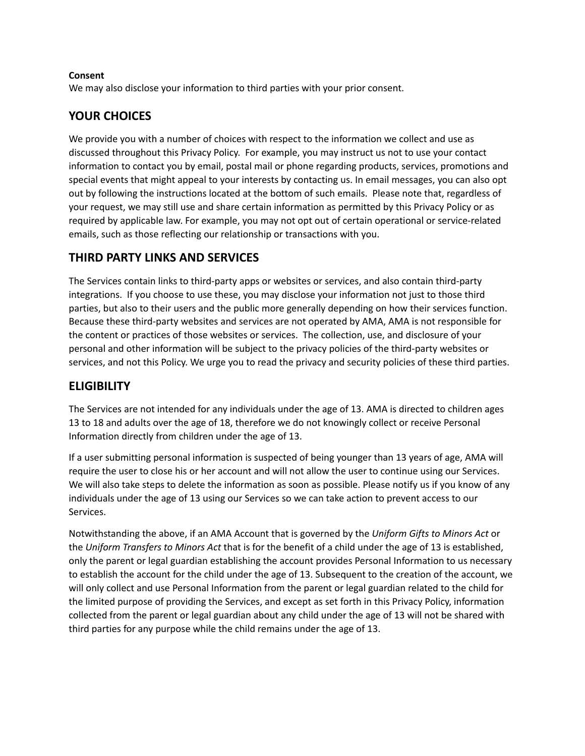### **Consent**

We may also disclose your information to third parties with your prior consent.

## **YOUR CHOICES**

We provide you with a number of choices with respect to the information we collect and use as discussed throughout this Privacy Policy. For example, you may instruct us not to use your contact information to contact you by email, postal mail or phone regarding products, services, promotions and special events that might appeal to your interests by contacting us. In email messages, you can also opt out by following the instructions located at the bottom of such emails. Please note that, regardless of your request, we may still use and share certain information as permitted by this Privacy Policy or as required by applicable law. For example, you may not opt out of certain operational or service-related emails, such as those reflecting our relationship or transactions with you.

### **THIRD PARTY LINKS AND SERVICES**

The Services contain links to third-party apps or websites or services, and also contain third-party integrations. If you choose to use these, you may disclose your information not just to those third parties, but also to their users and the public more generally depending on how their services function. Because these third-party websites and services are not operated by AMA, AMA is not responsible for the content or practices of those websites or services. The collection, use, and disclosure of your personal and other information will be subject to the privacy policies of the third-party websites or services, and not this Policy. We urge you to read the privacy and security policies of these third parties.

### **ELIGIBILITY**

The Services are not intended for any individuals under the age of 13. AMA is directed to children ages 13 to 18 and adults over the age of 18, therefore we do not knowingly collect or receive Personal Information directly from children under the age of 13.

If a user submitting personal information is suspected of being younger than 13 years of age, AMA will require the user to close his or her account and will not allow the user to continue using our Services. We will also take steps to delete the information as soon as possible. Please notify us if you know of any individuals under the age of 13 using our Services so we can take action to prevent access to our Services.

Notwithstanding the above, if an AMA Account that is governed by the *Uniform Gifts to Minors Act* or the *Uniform Transfers to Minors Act* that is for the benefit of a child under the age of 13 is established, only the parent or legal guardian establishing the account provides Personal Information to us necessary to establish the account for the child under the age of 13. Subsequent to the creation of the account, we will only collect and use Personal Information from the parent or legal guardian related to the child for the limited purpose of providing the Services, and except as set forth in this Privacy Policy, information collected from the parent or legal guardian about any child under the age of 13 will not be shared with third parties for any purpose while the child remains under the age of 13.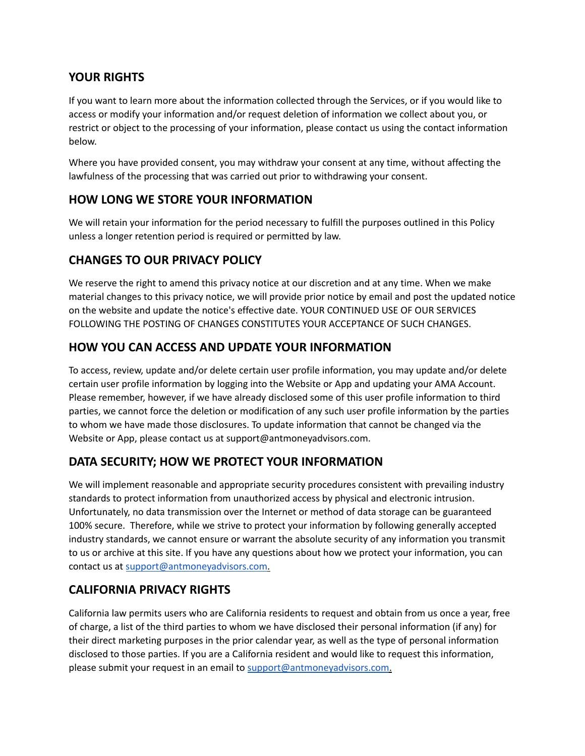# **YOUR RIGHTS**

If you want to learn more about the information collected through the Services, or if you would like to access or modify your information and/or request deletion of information we collect about you, or restrict or object to the processing of your information, please contact us using the contact information below.

Where you have provided consent, you may withdraw your consent at any time, without affecting the lawfulness of the processing that was carried out prior to withdrawing your consent.

## **HOW LONG WE STORE YOUR INFORMATION**

We will retain your information for the period necessary to fulfill the purposes outlined in this Policy unless a longer retention period is required or permitted by law.

# **CHANGES TO OUR PRIVACY POLICY**

We reserve the right to amend this privacy notice at our discretion and at any time. When we make material changes to this privacy notice, we will provide prior notice by email and post the updated notice on the website and update the notice's effective date. YOUR CONTINUED USE OF OUR SERVICES FOLLOWING THE POSTING OF CHANGES CONSTITUTES YOUR ACCEPTANCE OF SUCH CHANGES.

# **HOW YOU CAN ACCESS AND UPDATE YOUR INFORMATION**

To access, review, update and/or delete certain user profile information, you may update and/or delete certain user profile information by logging into the Website or App and updating your AMA Account. Please remember, however, if we have already disclosed some of this user profile information to third parties, we cannot force the deletion or modification of any such user profile information by the parties to whom we have made those disclosures. To update information that cannot be changed via the Website or App, please contact us at [support@antmoneyadvisors.com](mailto:support@antmoneyadvisors.com).

# **DATA SECURITY; HOW WE PROTECT YOUR INFORMATION**

We will implement reasonable and appropriate security procedures consistent with prevailing industry standards to protect information from unauthorized access by physical and electronic intrusion. Unfortunately, no data transmission over the Internet or method of data storage can be guaranteed 100% secure. Therefore, while we strive to protect your information by following generally accepted industry standards, we cannot ensure or warrant the absolute security of any information you transmit to us or archive at this site. If you have any questions about how we protect your information, you can contact us at [support@antmoneyadvisors.com.](mailto:support@antmoneyadvisors.com)

# **CALIFORNIA PRIVACY RIGHTS**

California law permits users who are California residents to request and obtain from us once a year, free of charge, a list of the third parties to whom we have disclosed their personal information (if any) for their direct marketing purposes in the prior calendar year, as well as the type of personal information disclosed to those parties. If you are a California resident and would like to request this information, please submit your request in an email to [support@antmoneyadvisors.com](mailto:support@antmoneyadvisors.com).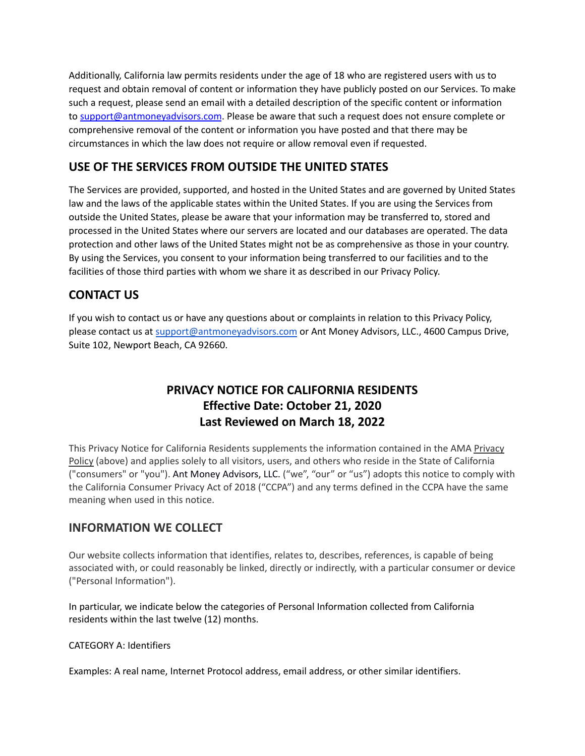Additionally, California law permits residents under the age of 18 who are registered users with us to request and obtain removal of content or information they have publicly posted on our Services. To make such a request, please send an email with a detailed description of the specific content or information to [support@antmoneyadvisors.com](mailto:support@antmoneyadvisors.com). Please be aware that such a request does not ensure complete or comprehensive removal of the content or information you have posted and that there may be circumstances in which the law does not require or allow removal even if requested.

# **USE OF THE SERVICES FROM OUTSIDE THE UNITED STATES**

The Services are provided, supported, and hosted in the United States and are governed by United States law and the laws of the applicable states within the United States. If you are using the Services from outside the United States, please be aware that your information may be transferred to, stored and processed in the United States where our servers are located and our databases are operated. The data protection and other laws of the United States might not be as comprehensive as those in your country. By using the Services, you consent to your information being transferred to our facilities and to the facilities of those third parties with whom we share it as described in our Privacy Policy.

# **CONTACT US**

If you wish to contact us or have any questions about or complaints in relation to this Privacy Policy, please contact us at [support@antmoneyadvisors.com](mailto:support@antmoneyadvisors.com) or Ant Money Advisors, LLC., 4600 Campus Drive, Suite 102, Newport Beach, CA 92660.

# **PRIVACY NOTICE FOR CALIFORNIA RESIDENTS Effective Date: October 21, 2020 Last Reviewed on March 18, 2022**

This Privacy Notice for California Residents supplements the information contained in the AMA Privacy Policy (above) and applies solely to all visitors, users, and others who reside in the State of California ("consumers" or "you"). Ant Money Advisors, LLC. ("we", "our" or "us") adopts this notice to comply with the California Consumer Privacy Act of 2018 ("CCPA") and any terms defined in the CCPA have the same meaning when used in this notice.

## **INFORMATION WE COLLECT**

Our website collects information that identifies, relates to, describes, references, is capable of being associated with, or could reasonably be linked, directly or indirectly, with a particular consumer or device ("Personal Information").

In particular, we indicate below the categories of Personal Information collected from California residents within the last twelve (12) months.

### CATEGORY A: Identifiers

Examples: A real name, Internet Protocol address, email address, or other similar identifiers.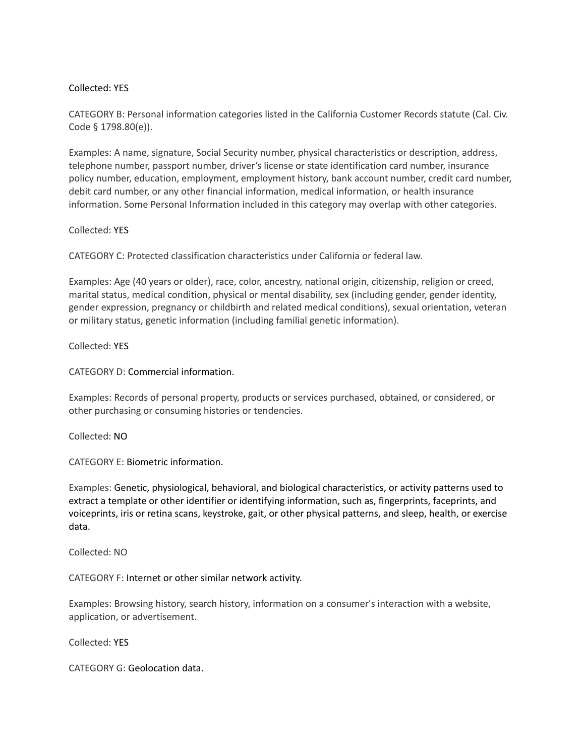### Collected: YES

CATEGORY B: Personal information categories listed in the California Customer Records statute (Cal. Civ. Code § 1798.80(e)).

Examples: A name, signature, Social Security number, physical characteristics or description, address, telephone number, passport number, driver's license or state identification card number, insurance policy number, education, employment, employment history, bank account number, credit card number, debit card number, or any other financial information, medical information, or health insurance information. Some Personal Information included in this category may overlap with other categories.

#### Collected: YES

CATEGORY C: Protected classification characteristics under California or federal law.

Examples: Age (40 years or older), race, color, ancestry, national origin, citizenship, religion or creed, marital status, medical condition, physical or mental disability, sex (including gender, gender identity, gender expression, pregnancy or childbirth and related medical conditions), sexual orientation, veteran or military status, genetic information (including familial genetic information).

Collected: YES

CATEGORY D: Commercial information.

Examples: Records of personal property, products or services purchased, obtained, or considered, or other purchasing or consuming histories or tendencies.

Collected: NO

CATEGORY E: Biometric information.

Examples: Genetic, physiological, behavioral, and biological characteristics, or activity patterns used to extract a template or other identifier or identifying information, such as, fingerprints, faceprints, and voiceprints, iris or retina scans, keystroke, gait, or other physical patterns, and sleep, health, or exercise data.

Collected: NO

CATEGORY F: Internet or other similar network activity.

Examples: Browsing history, search history, information on a consumer's interaction with a website, application, or advertisement.

Collected: YES

CATEGORY G: Geolocation data.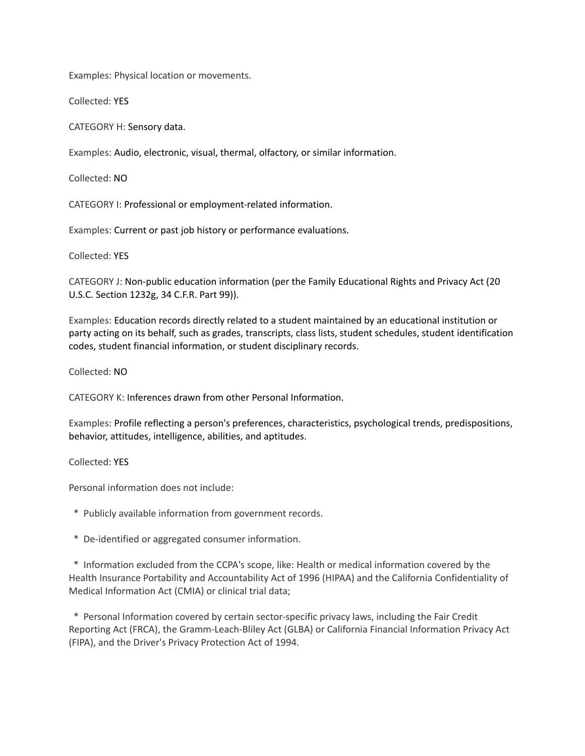Examples: Physical location or movements.

Collected: YES

CATEGORY H: Sensory data.

Examples: Audio, electronic, visual, thermal, olfactory, or similar information.

Collected: NO

CATEGORY I: Professional or employment-related information.

Examples: Current or past job history or performance evaluations.

Collected: YES

CATEGORY J: Non-public education information (per the Family Educational Rights and Privacy Act (20 U.S.C. Section 1232g, 34 C.F.R. Part 99)).

Examples: Education records directly related to a student maintained by an educational institution or party acting on its behalf, such as grades, transcripts, class lists, student schedules, student identification codes, student financial information, or student disciplinary records.

Collected: NO

CATEGORY K: Inferences drawn from other Personal Information.

Examples: Profile reflecting a person's preferences, characteristics, psychological trends, predispositions, behavior, attitudes, intelligence, abilities, and aptitudes.

Collected: YES

Personal information does not include:

\* Publicly available information from government records.

\* De-identified or aggregated consumer information.

\* Information excluded from the CCPA's scope, like: Health or medical information covered by the Health Insurance Portability and Accountability Act of 1996 (HIPAA) and the California Confidentiality of Medical Information Act (CMIA) or clinical trial data;

\* Personal Information covered by certain sector-specific privacy laws, including the Fair Credit Reporting Act (FRCA), the Gramm-Leach-Bliley Act (GLBA) or California Financial Information Privacy Act (FIPA), and the Driver's Privacy Protection Act of 1994.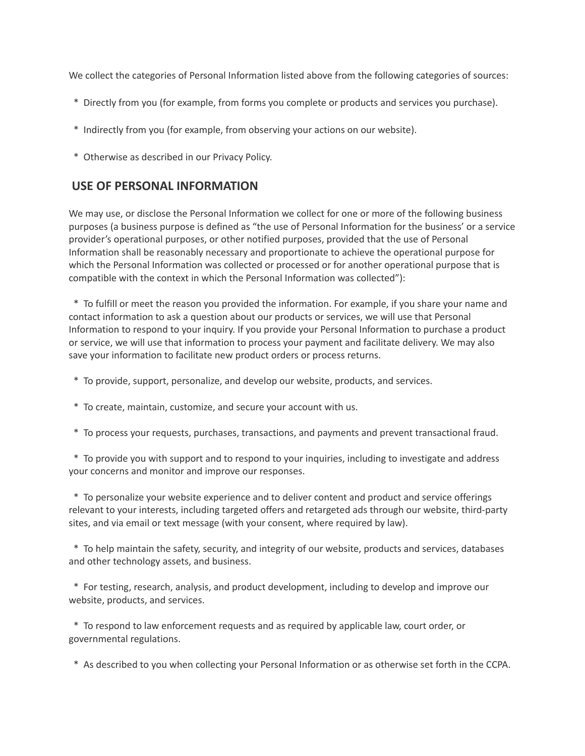We collect the categories of Personal Information listed above from the following categories of sources:

- \* Directly from you (for example, from forms you complete or products and services you purchase).
- \* Indirectly from you (for example, from observing your actions on our website).
- \* Otherwise as described in our Privacy Policy.

### **USE OF PERSONAL INFORMATION**

We may use, or disclose the Personal Information we collect for one or more of the following business purposes (a business purpose is defined as "the use of Personal Information for the business' or a service provider's operational purposes, or other notified purposes, provided that the use of Personal Information shall be reasonably necessary and proportionate to achieve the operational purpose for which the Personal Information was collected or processed or for another operational purpose that is compatible with the context in which the Personal Information was collected"):

\* To fulfill or meet the reason you provided the information. For example, if you share your name and contact information to ask a question about our products or services, we will use that Personal Information to respond to your inquiry. If you provide your Personal Information to purchase a product or service, we will use that information to process your payment and facilitate delivery. We may also save your information to facilitate new product orders or process returns.

- \* To provide, support, personalize, and develop our website, products, and services.
- \* To create, maintain, customize, and secure your account with us.
- \* To process your requests, purchases, transactions, and payments and prevent transactional fraud.

\* To provide you with support and to respond to your inquiries, including to investigate and address your concerns and monitor and improve our responses.

\* To personalize your website experience and to deliver content and product and service offerings relevant to your interests, including targeted offers and retargeted ads through our website, third-party sites, and via email or text message (with your consent, where required by law).

\* To help maintain the safety, security, and integrity of our website, products and services, databases and other technology assets, and business.

\* For testing, research, analysis, and product development, including to develop and improve our website, products, and services.

\* To respond to law enforcement requests and as required by applicable law, court order, or governmental regulations.

\* As described to you when collecting your Personal Information or as otherwise set forth in the CCPA.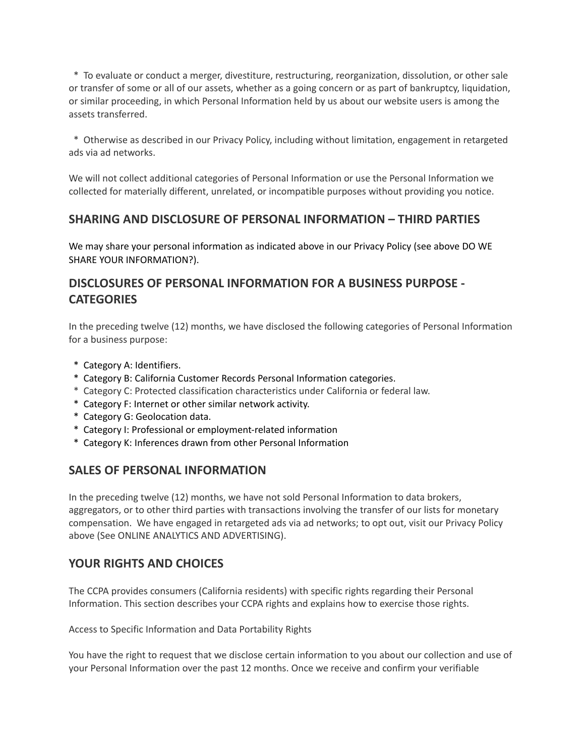\* To evaluate or conduct a merger, divestiture, restructuring, reorganization, dissolution, or other sale or transfer of some or all of our assets, whether as a going concern or as part of bankruptcy, liquidation, or similar proceeding, in which Personal Information held by us about our website users is among the assets transferred.

\* Otherwise as described in our Privacy Policy, including without limitation, engagement in retargeted ads via ad networks.

We will not collect additional categories of Personal Information or use the Personal Information we collected for materially different, unrelated, or incompatible purposes without providing you notice.

## **SHARING AND DISCLOSURE OF PERSONAL INFORMATION – THIRD PARTIES**

We may share your personal information as indicated above in our Privacy Policy (see above DO WE SHARE YOUR INFORMATION?).

## **DISCLOSURES OF PERSONAL INFORMATION FOR A BUSINESS PURPOSE - CATEGORIES**

In the preceding twelve (12) months, we have disclosed the following categories of Personal Information for a business purpose:

- \* Category A: Identifiers.
- \* Category B: California Customer Records Personal Information categories.
- \* Category C: Protected classification characteristics under California or federal law.
- \* Category F: Internet or other similar network activity.
- \* Category G: Geolocation data.
- \* Category I: Professional or employment-related information
- \* Category K: Inferences drawn from other Personal Information

## **SALES OF PERSONAL INFORMATION**

In the preceding twelve (12) months, we have not sold Personal Information to data brokers, aggregators, or to other third parties with transactions involving the transfer of our lists for monetary compensation. We have engaged in retargeted ads via ad networks; to opt out, visit our Privacy Policy above (See ONLINE ANALYTICS AND ADVERTISING).

## **YOUR RIGHTS AND CHOICES**

The CCPA provides consumers (California residents) with specific rights regarding their Personal Information. This section describes your CCPA rights and explains how to exercise those rights.

Access to Specific Information and Data Portability Rights

You have the right to request that we disclose certain information to you about our collection and use of your Personal Information over the past 12 months. Once we receive and confirm your verifiable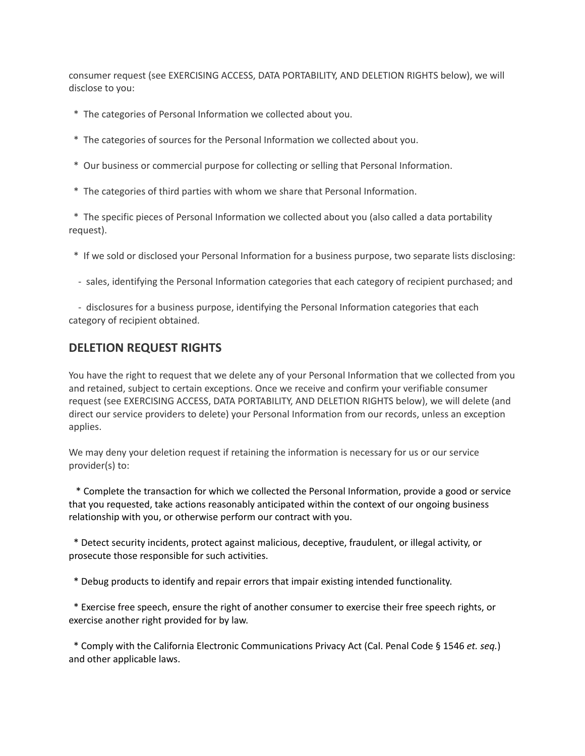consumer request (see EXERCISING ACCESS, DATA PORTABILITY, AND DELETION RIGHTS below), we will disclose to you:

- \* The categories of Personal Information we collected about you.
- \* The categories of sources for the Personal Information we collected about you.
- \* Our business or commercial purpose for collecting or selling that Personal Information.
- \* The categories of third parties with whom we share that Personal Information.

\* The specific pieces of Personal Information we collected about you (also called a data portability request).

- \* If we sold or disclosed your Personal Information for a business purpose, two separate lists disclosing:
- sales, identifying the Personal Information categories that each category of recipient purchased; and

- disclosures for a business purpose, identifying the Personal Information categories that each category of recipient obtained.

### **DELETION REQUEST RIGHTS**

You have the right to request that we delete any of your Personal Information that we collected from you and retained, subject to certain exceptions. Once we receive and confirm your verifiable consumer request (see EXERCISING ACCESS, DATA PORTABILITY, AND DELETION RIGHTS below), we will delete (and direct our service providers to delete) your Personal Information from our records, unless an exception applies.

We may deny your deletion request if retaining the information is necessary for us or our service provider(s) to:

\* Complete the transaction for which we collected the Personal Information, provide a good or service that you requested, take actions reasonably anticipated within the context of our ongoing business relationship with you, or otherwise perform our contract with you.

\* Detect security incidents, protect against malicious, deceptive, fraudulent, or illegal activity, or prosecute those responsible for such activities.

\* Debug products to identify and repair errors that impair existing intended functionality.

\* Exercise free speech, ensure the right of another consumer to exercise their free speech rights, or exercise another right provided for by law.

\* Comply with the California Electronic Communications Privacy Act (Cal. Penal Code § 1546 *et. seq.*) and other applicable laws.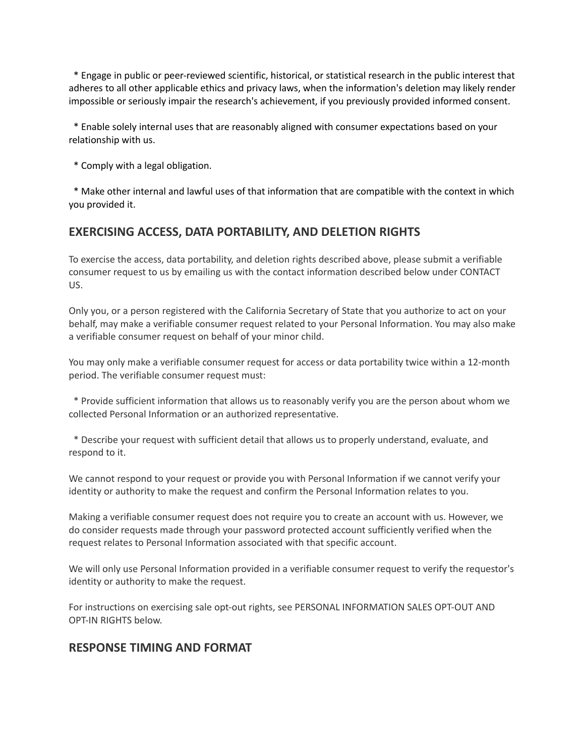\* Engage in public or peer-reviewed scientific, historical, or statistical research in the public interest that adheres to all other applicable ethics and privacy laws, when the information's deletion may likely render impossible or seriously impair the research's achievement, if you previously provided informed consent.

\* Enable solely internal uses that are reasonably aligned with consumer expectations based on your relationship with us.

\* Comply with a legal obligation.

\* Make other internal and lawful uses of that information that are compatible with the context in which you provided it.

# **EXERCISING ACCESS, DATA PORTABILITY, AND DELETION RIGHTS**

To exercise the access, data portability, and deletion rights described above, please submit a verifiable consumer request to us by emailing us with the contact information described below under CONTACT US.

Only you, or a person registered with the California Secretary of State that you authorize to act on your behalf, may make a verifiable consumer request related to your Personal Information. You may also make a verifiable consumer request on behalf of your minor child.

You may only make a verifiable consumer request for access or data portability twice within a 12-month period. The verifiable consumer request must:

\* Provide sufficient information that allows us to reasonably verify you are the person about whom we collected Personal Information or an authorized representative.

\* Describe your request with sufficient detail that allows us to properly understand, evaluate, and respond to it.

We cannot respond to your request or provide you with Personal Information if we cannot verify your identity or authority to make the request and confirm the Personal Information relates to you.

Making a verifiable consumer request does not require you to create an account with us. However, we do consider requests made through your password protected account sufficiently verified when the request relates to Personal Information associated with that specific account.

We will only use Personal Information provided in a verifiable consumer request to verify the requestor's identity or authority to make the request.

For instructions on exercising sale opt-out rights, see PERSONAL INFORMATION SALES OPT-OUT AND OPT-IN RIGHTS below.

### **RESPONSE TIMING AND FORMAT**